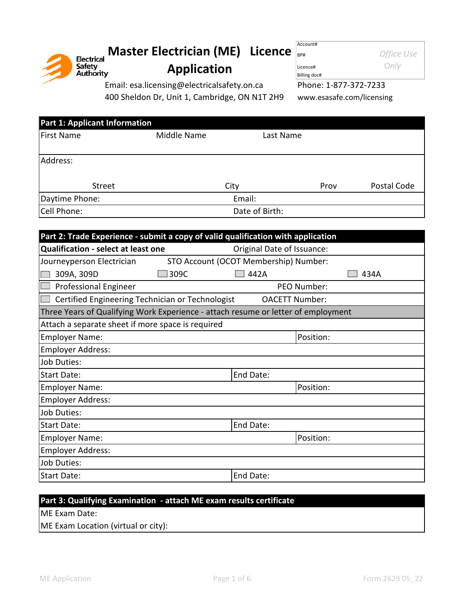

# **Master Electrician (ME) Licence** Account# **Application**

**Office Use** 

Licence# *Only* Billing doc#

Email: esa.licensing@electricalsafety.on.ca Phone: 1-877-372-7233

400 Sheldon Dr, Unit 1, Cambridge, ON N1T 2H9 [www.esasafe.com/licensing](http://www.esasafe.com/licensing)

| Middle Name |                                      | Last Name |                |             |
|-------------|--------------------------------------|-----------|----------------|-------------|
|             |                                      |           |                |             |
|             |                                      |           |                |             |
|             |                                      |           |                |             |
|             |                                      |           | Prov           | Postal Code |
|             | Email:                               |           |                |             |
|             |                                      |           |                |             |
|             | <b>Part 1: Applicant Information</b> | City      | Date of Birth: |             |

| Part 2: Trade Experience - submit a copy of valid qualification with application  |                            |      |  |  |  |
|-----------------------------------------------------------------------------------|----------------------------|------|--|--|--|
| <b>Qualification - select at least one</b>                                        | Original Date of Issuance: |      |  |  |  |
| STO Account (OCOT Membership) Number:<br>Journeyperson Electrician                |                            |      |  |  |  |
| 309A, 309D<br>309C                                                                | 442A                       | 434A |  |  |  |
| <b>Professional Engineer</b>                                                      | PEO Number:                |      |  |  |  |
| Certified Engineering Technician or Technologist                                  | <b>OACETT Number:</b>      |      |  |  |  |
| Three Years of Qualifying Work Experience - attach resume or letter of employment |                            |      |  |  |  |
| Attach a separate sheet if more space is required                                 |                            |      |  |  |  |
| <b>Employer Name:</b>                                                             | Position:                  |      |  |  |  |
| <b>Employer Address:</b>                                                          |                            |      |  |  |  |
| <b>Job Duties:</b>                                                                |                            |      |  |  |  |
| Start Date:                                                                       | End Date:                  |      |  |  |  |
| <b>Employer Name:</b>                                                             | Position:                  |      |  |  |  |
| <b>Employer Address:</b>                                                          |                            |      |  |  |  |
| <b>Job Duties:</b>                                                                |                            |      |  |  |  |
| Start Date:                                                                       | End Date:                  |      |  |  |  |
| <b>Employer Name:</b>                                                             | Position:                  |      |  |  |  |
| <b>Employer Address:</b>                                                          |                            |      |  |  |  |
| <b>Job Duties:</b>                                                                |                            |      |  |  |  |
| Start Date:                                                                       | End Date:                  |      |  |  |  |

# **Part 3: Qualifying Examination - attach ME exam results certificate**

ME Exam Date:

ME Exam Location (virtual or city):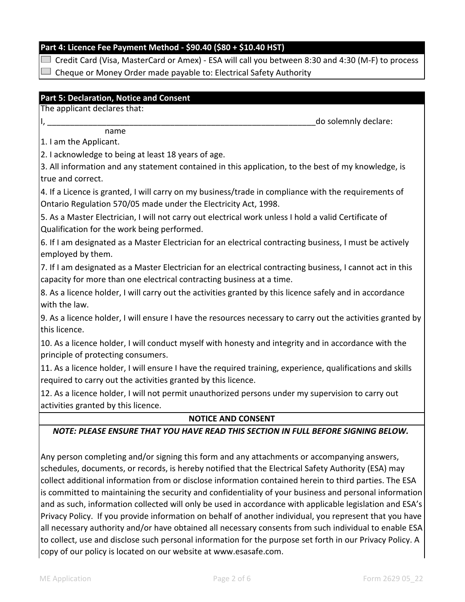# **Part 4: Licence Fee Payment Method - \$90.40 (\$80 + \$10.40 HST)**

 $\Box$  Credit Card (Visa, MasterCard or Amex) - ESA will call you between 8:30 and 4:30 (M-F) to process

Cheque or Money Order made payable to: Electrical Safety Authority

# **Part 5: Declaration, Notice and Consent**

The applicant declares that:

do solemnly declare:

name

1. I am the Applicant.

2. I acknowledge to being at least 18 years of age.

3. All information and any statement contained in this application, to the best of my knowledge, is true and correct.

4. If a Licence is granted, I will carry on my business/trade in compliance with the requirements of Ontario Regulation 570/05 made under the Electricity Act, 1998.

5. As a Master Electrician, I will not carry out electrical work unless I hold a valid Certificate of Qualification for the work being performed.

6. If I am designated as a Master Electrician for an electrical contracting business, I must be actively employed by them.

7. If I am designated as a Master Electrician for an electrical contracting business, I cannot act in this capacity for more than one electrical contracting business at a time.

8. As a licence holder, I will carry out the activities granted by this licence safely and in accordance with the law.

9. As a licence holder, I will ensure I have the resources necessary to carry out the activities granted by this licence.

10. As a licence holder, I will conduct myself with honesty and integrity and in accordance with the principle of protecting consumers.

11. As a licence holder, I will ensure I have the required training, experience, qualifications and skills required to carry out the activities granted by this licence.

12. As a licence holder, I will not permit unauthorized persons under my supervision to carry out activities granted by this licence.

# **NOTICE AND CONSENT**

### *NOTE: PLEASE ENSURE THAT YOU HAVE READ THIS SECTION IN FULL BEFORE SIGNING BELOW.*

Any person completing and/or signing this form and any attachments or accompanying answers, schedules, documents, or records, is hereby notified that the Electrical Safety Authority (ESA) may collect additional information from or disclose information contained herein to third parties. The ESA is committed to maintaining the security and confidentiality of your business and personal information and as such, information collected will only be used in accordance with applicable legislation and ESA's Privacy Policy. If you provide information on behalf of another individual, you represent that you have all necessary authority and/or have obtained all necessary consents from such individual to enable ESA to collect, use and disclose such personal information for the purpose set forth in our Privacy Policy. A copy of our policy is located on our website at www.esasafe.com.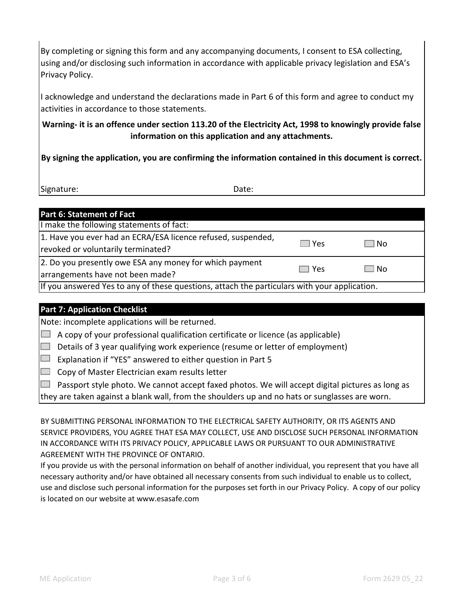By completing or signing this form and any accompanying documents, I consent to ESA collecting, using and/or disclosing such information in accordance with applicable privacy legislation and ESA's Privacy Policy.

I acknowledge and understand the declarations made in Part 6 of this form and agree to conduct my activities in accordance to those statements.

**Warning- it is an offence under section 113.20 of the Electricity Act, 1998 to knowingly provide false information on this application and any attachments.**

**By signing the application, you are confirming the information contained in this document is correct.**

Signature:

Date:

| Part 6: Statement of Fact                                                                          |            |      |  |  |
|----------------------------------------------------------------------------------------------------|------------|------|--|--|
| I make the following statements of fact:                                                           |            |      |  |  |
| 1. Have you ever had an ECRA/ESA licence refused, suspended,<br>revoked or voluntarily terminated? | $\Box$ Yes | l No |  |  |
| 2. Do you presently owe ESA any money for which payment<br>arrangements have not been made?        | □ Yes      | l No |  |  |
| If you answered Yes to any of these questions, attach the particulars with your application.       |            |      |  |  |

# **Part 7: Application Checklist**

Note: incomplete applications will be returned.

 $\Box$  A copy of your professional qualification certificate or licence (as applicable)

 $\Box$  Details of 3 year qualifying work experience (resume or letter of employment)

 $\Box$  Explanation if "YES" answered to either question in Part 5

 $\Box$  Copy of Master Electrician exam results letter

 $\Box$  Passport style photo. We cannot accept faxed photos. We will accept digital pictures as long as

they are taken against a blank wall, from the shoulders up and no hats or sunglasses are worn.

BY SUBMITTING PERSONAL INFORMATION TO THE ELECTRICAL SAFETY AUTHORITY, OR ITS AGENTS AND SERVICE PROVIDERS, YOU AGREE THAT ESA MAY COLLECT, USE AND DISCLOSE SUCH PERSONAL INFORMATION IN ACCORDANCE WITH ITS PRIVACY POLICY, APPLICABLE LAWS OR PURSUANT TO OUR ADMINISTRATIVE AGREEMENT WITH THE PROVINCE OF ONTARIO.

If you provide us with the personal information on behalf of another individual, you represent that you have all necessary authority and/or have obtained all necessary consents from such individual to enable us to collect, use and disclose such personal information for the purposes set forth in our Privacy Policy. A copy of our policy is located on our website at www.esasafe.com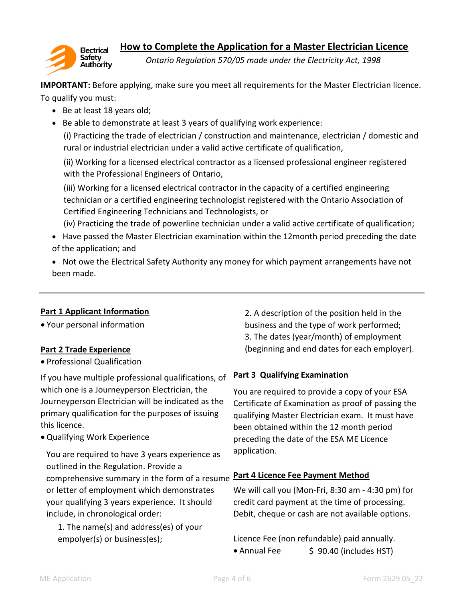



*Ontario Regulation 570/05 made under the Electricity Act, 1998*

**IMPORTANT:** Before applying, make sure you meet all requirements for the Master Electrician licence. To qualify you must:

- Be at least 18 years old;
- Be able to demonstrate at least 3 years of qualifying work experience:

(i) Practicing the trade of electrician / construction and maintenance, electrician / domestic and rural or industrial electrician under a valid active certificate of qualification,

(ii) Working for a licensed electrical contractor as a licensed professional engineer registered with the Professional Engineers of Ontario,

(iii) Working for a licensed electrical contractor in the capacity of a certified engineering technician or a certified engineering technologist registered with the Ontario Association of Certified Engineering Technicians and Technologists, or

(iv) Practicing the trade of powerline technician under a valid active certificate of qualification; • Have passed the Master Electrician examination within the 12month period preceding the date of the application; and

• Not owe the Electrical Safety Authority any money for which payment arrangements have not been made.

# **Part 1 Applicant Information**

Your personal information

# **Part 2 Trade Experience**

Professional Qualification

If you have multiple professional qualifications, of which one is a Journeyperson Electrician, the Journeyperson Electrician will be indicated as the primary qualification for the purposes of issuing this licence.

Qualifying Work Experience

You are required to have 3 years experience as outlined in the Regulation. Provide a comprehensive summary in the form of a resume **Part 4 Licence Fee Payment Method** or letter of employment which demonstrates your qualifying 3 years experience. It should include, in chronological order:

1. The name(s) and address(es) of your empolyer(s) or business(es);

3. The dates (year/month) of employment (beginning and end dates for each employer). 2. A description of the position held in the business and the type of work performed;

# **Part 3 Qualifying Examination**

You are required to provide a copy of your ESA Certificate of Examination as proof of passing the qualifying Master Electrician exam. It must have been obtained within the 12 month period preceding the date of the ESA ME Licence application.

We will call you (Mon-Fri, 8:30 am - 4:30 pm) for credit card payment at the time of processing. Debit, cheque or cash are not available options.

Licence Fee (non refundable) paid annually. • Annual Fee  $\frac{1}{5}$  90.40 (includes HST)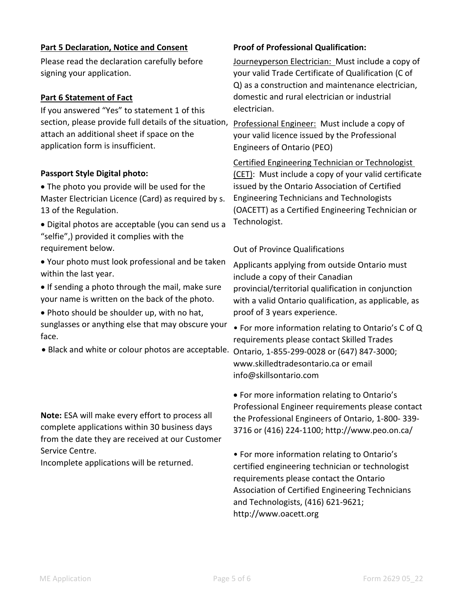### **Part 5 Declaration, Notice and Consent**

Please read the declaration carefully before signing your application.

### **Part 6 Statement of Fact**

If you answered "Yes" to statement 1 of this section, please provide full details of the situation, Professional Engineer: Must include a copy of attach an additional sheet if space on the application form is insufficient.

### **Passport Style Digital photo:**

 The photo you provide will be used for the Master Electrician Licence (Card) as required by s. 13 of the Regulation.

 Digital photos are acceptable (you can send us a "selfie",) provided it complies with the requirement below.

 Your photo must look professional and be taken within the last year.

• If sending a photo through the mail, make sure your name is written on the back of the photo.

Photo should be shoulder up, with no hat,

sunglasses or anything else that may obscure your face.

**Note:** ESA will make every effort to process all complete applications within 30 business days from the date they are received at our Customer Service Centre.

Incomplete applications will be returned.

### **Proof of Professional Qualification:**

Journeyperson Electrician: Must include a copy of your valid Trade Certificate of Qualification (C of Q) as a construction and maintenance electrician, domestic and rural electrician or industrial electrician.

your valid licence issued by the Professional Engineers of Ontario (PEO)

Certified Engineering Technician or Technologist (CET): Must include a copy of your valid certificate issued by the Ontario Association of Certified Engineering Technicians and Technologists (OACETT) as a Certified Engineering Technician or Technologist.

### Out of Province Qualifications

Applicants applying from outside Ontario must include a copy of their Canadian provincial/territorial qualification in conjunction with a valid Ontario qualification, as applicable, as proof of 3 years experience.

• For more information relating to Ontario's C of Q requirements please contact Skilled Trades • Black and white or colour photos are acceptable. Ontario, 1-855-299-0028 or (647) 847-3000; www.skilledtradesontario.ca or email info@skillsontario.com

> • For more information relating to Ontario's Professional Engineer requirements please contact the Professional Engineers of Ontario, 1-800- 339- 3716 or (416) 224-1100; http://www.peo.on.ca/

• For more information relating to Ontario's certified engineering technician or technologist requirements please contact the Ontario Association of Certified Engineering Technicians and Technologists, (416) 621-9621; http://www.oacett.org